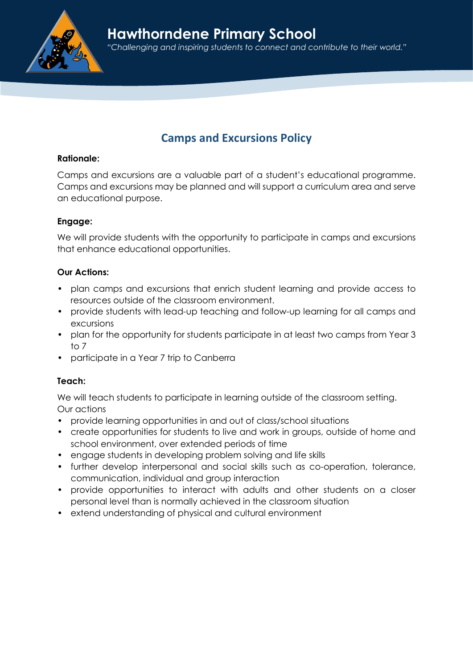

# Hawthorndene Primary School "Challenging and inspiring students to connect and contribute to their world."

# Camps and Excursions Policy

#### Rationale:

Camps and excursions are a valuable part of a student's educational programme. Camps and excursions may be planned and will support a curriculum area and serve an educational purpose.

# Engage:

We will provide students with the opportunity to participate in camps and excursions that enhance educational opportunities.

# Our Actions:

- plan camps and excursions that enrich student learning and provide access to resources outside of the classroom environment.
- provide students with lead-up teaching and follow-up learning for all camps and excursions
- plan for the opportunity for students participate in at least two camps from Year 3 to 7
- participate in a Year 7 trip to Canberra

# Teach:

We will teach students to participate in learning outside of the classroom setting. Our actions

- provide learning opportunities in and out of class/school situations
- create opportunities for students to live and work in groups, outside of home and school environment, over extended periods of time
- engage students in developing problem solving and life skills
- further develop interpersonal and social skills such as co-operation, tolerance, communication, individual and group interaction
- provide opportunities to interact with adults and other students on a closer personal level than is normally achieved in the classroom situation
- extend understanding of physical and cultural environment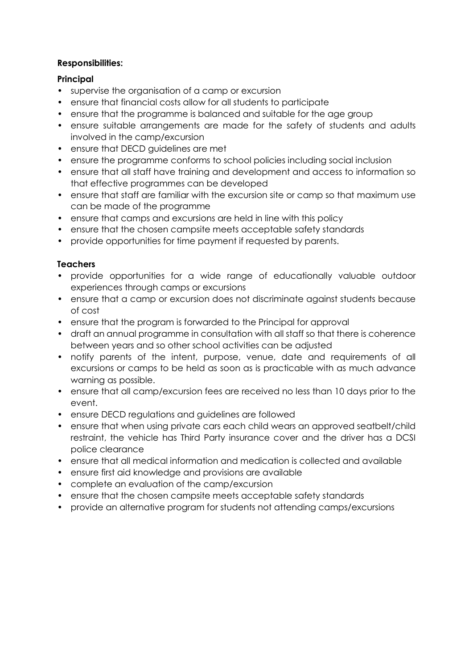# Responsibilities:

#### **Principal**

- supervise the organisation of a camp or excursion
- ensure that financial costs allow for all students to participate
- ensure that the programme is balanced and suitable for the age group
- ensure suitable arrangements are made for the safety of students and adults involved in the camp/excursion
- ensure that DECD guidelines are met
- ensure the programme conforms to school policies including social inclusion
- ensure that all staff have training and development and access to information so that effective programmes can be developed
- ensure that staff are familiar with the excursion site or camp so that maximum use can be made of the programme
- ensure that camps and excursions are held in line with this policy
- ensure that the chosen campsite meets acceptable safety standards
- provide opportunities for time payment if requested by parents.

#### Teachers

- provide opportunities for a wide range of educationally valuable outdoor experiences through camps or excursions
- ensure that a camp or excursion does not discriminate against students because of cost
- ensure that the program is forwarded to the Principal for approval
- draft an annual programme in consultation with all staff so that there is coherence between years and so other school activities can be adjusted
- notify parents of the intent, purpose, venue, date and requirements of all excursions or camps to be held as soon as is practicable with as much advance warning as possible.
- ensure that all camp/excursion fees are received no less than 10 days prior to the event.
- ensure DECD regulations and guidelines are followed
- ensure that when using private cars each child wears an approved seatbelt/child restraint, the vehicle has Third Party insurance cover and the driver has a DCSI police clearance
- ensure that all medical information and medication is collected and available
- ensure first aid knowledge and provisions are available
- complete an evaluation of the camp/excursion
- ensure that the chosen campsite meets acceptable safety standards
- provide an alternative program for students not attending camps/excursions